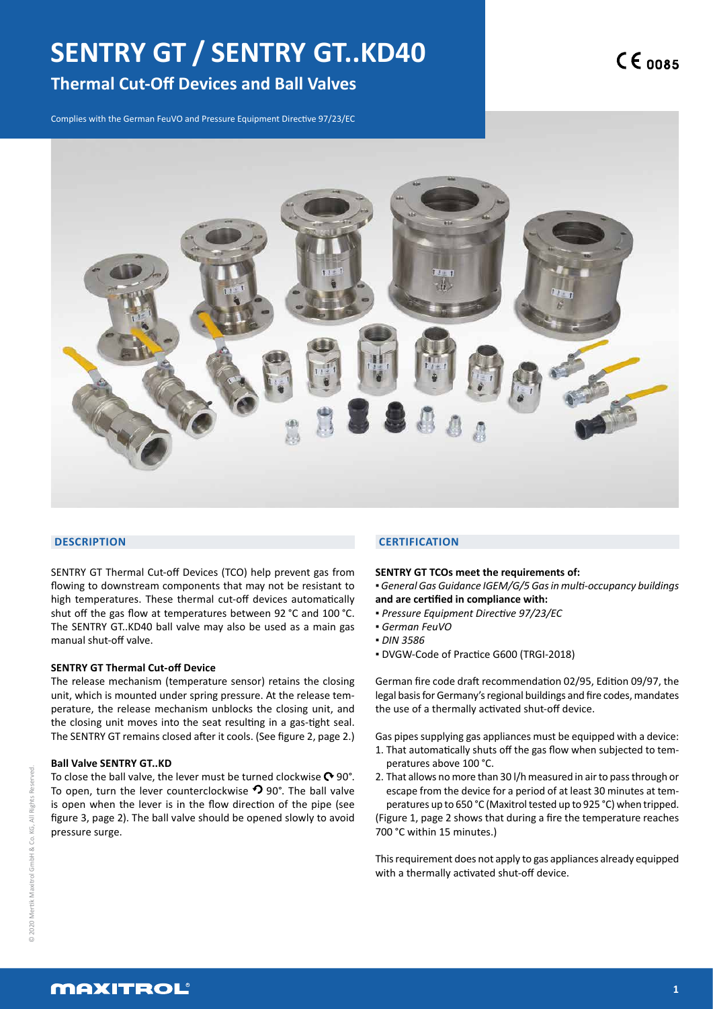# **SENTRY GT / SENTRY GT..KD40**

# **Thermal Cut-Off Devices and Ball Valves**

Complies with the German FeuVO and Pressure Equipment Directive 97/23/EC



#### **DESCRIPTION**

SENTRY GT Thermal Cut-off Devices (TCO) help prevent gas from flowing to downstream components that may not be resistant to high temperatures. These thermal cut-off devices automatically shut off the gas flow at temperatures between 92 °C and 100 °C. The SENTRY GT..KD40 ball valve may also be used as a main gas manual shut-off valve.

#### **SENTRY GT Thermal Cut-off Device**

The release mechanism (temperature sensor) retains the closing unit, which is mounted under spring pressure. At the release temperature, the release mechanism unblocks the closing unit, and the closing unit moves into the seat resulting in a gas-tight seal. The SENTRY GT remains closed after it cools. (See figure 2, page 2.)

#### **Ball Valve SENTRY GT..KD**

To close the ball valve, the lever must be turned clockwise  $\mathbf{\odot}$  90°. To open, turn the lever counterclockwise  $\Omega$  90°. The ball valve is open when the lever is in the flow direction of the pipe (see figure 3, page 2). The ball valve should be opened slowly to avoid pressure surge.

#### **CERTIFICATION**

#### **SENTRY GT TCOs meet the requirements of:**

- *General Gas Guidance IGEM/G/5 Gas in multi-occupancy buildings* **and are certified in compliance with:**
- *Pressure Equipment Directive 97/23/EC*
- *German FeuVO*
- *DIN 3586*
- DVGW-Code of Practice G600 (TRGI-2018)

German fire code draft recommendation 02/95, Edition 09/97, the legal basis for Germany's regional buildings and fire codes, mandates the use of a thermally activated shut-off device.

Gas pipes supplying gas appliances must be equipped with a device: 1. That automatically shuts off the gas flow when subjected to temperatures above 100 °C.

2. That allows no more than 30 l/h measured in air to pass through or escape from the device for a period of at least 30 minutes at temperatures up to 650 °C (Maxitrol tested up to 925 °C) when tripped. (Figure 1, page 2 shows that during a fire the temperature reaches 700 °C within 15 minutes.)

This requirement does not apply to gas appliances already equipped with a thermally activated shut-off device.

## **MAXITROL**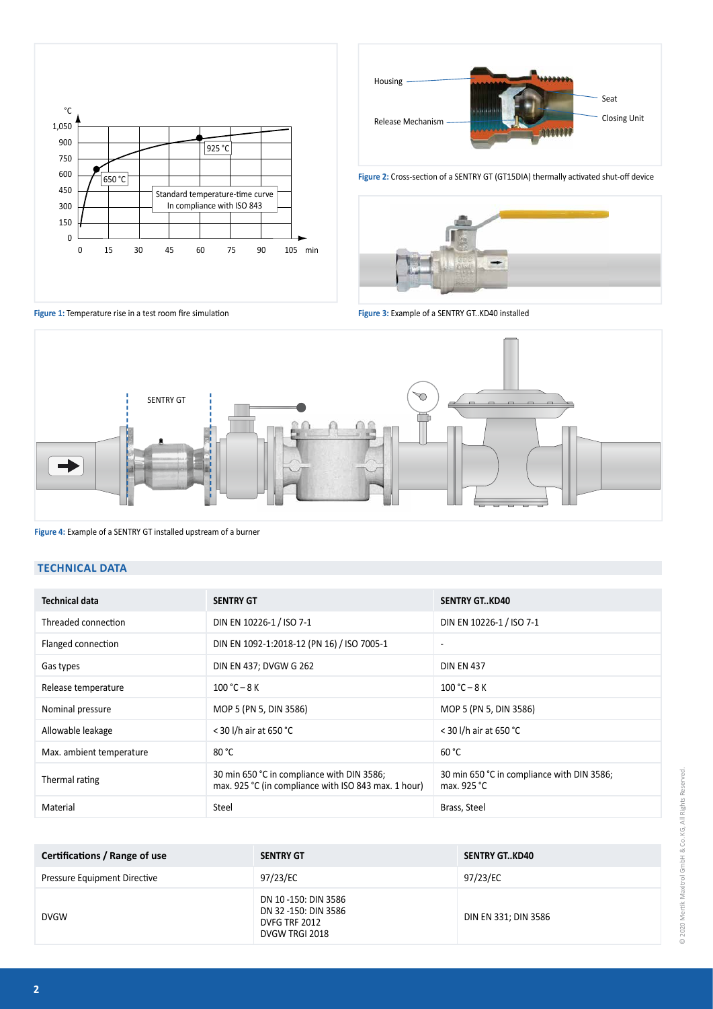



Figure 2: Cross-section of a SENTRY GT (GT15DIA) thermally activated shut-off device



Figure 1: Temperature rise in a test room fire simulation

**Figure 3:** Example of a SENTRY GT..KD40 installed



**Figure 4:** Example of a SENTRY GT installed upstream of a burner

#### **TECHNICAL DATA**

| <b>Technical data</b>    | <b>SENTRY GT</b>                                                                                   | <b>SENTRY GTKD40</b>                                      |
|--------------------------|----------------------------------------------------------------------------------------------------|-----------------------------------------------------------|
| Threaded connection      | DIN EN 10226-1 / ISO 7-1                                                                           | DIN EN 10226-1 / ISO 7-1                                  |
| Flanged connection       | DIN EN 1092-1:2018-12 (PN 16) / ISO 7005-1                                                         | ٠                                                         |
| Gas types                | DIN EN 437; DVGW G 262                                                                             | <b>DIN EN 437</b>                                         |
| Release temperature      | $100 °C - 8 K$                                                                                     | $100 °C - 8 K$                                            |
| Nominal pressure         | MOP 5 (PN 5, DIN 3586)                                                                             | MOP 5 (PN 5, DIN 3586)                                    |
| Allowable leakage        | < 30 l/h air at 650 °C                                                                             | < 30 l/h air at 650 °C                                    |
| Max. ambient temperature | 80 °C                                                                                              | 60 °C                                                     |
| Thermal rating           | 30 min 650 °C in compliance with DIN 3586;<br>max. 925 °C (in compliance with ISO 843 max. 1 hour) | 30 min 650 °C in compliance with DIN 3586;<br>max. 925 °C |
| Material                 | Steel                                                                                              | Brass, Steel                                              |

| Certifications / Range of use | <b>SENTRY GT</b>                                                              | <b>SENTRY GTKD40</b> |
|-------------------------------|-------------------------------------------------------------------------------|----------------------|
| Pressure Equipment Directive  | 97/23/EC                                                                      | 97/23/EC             |
| <b>DVGW</b>                   | DN 10-150: DIN 3586<br>DN 32-150: DIN 3586<br>DVFG TRF 2012<br>DVGW TRGI 2018 | DIN EN 331; DIN 3586 |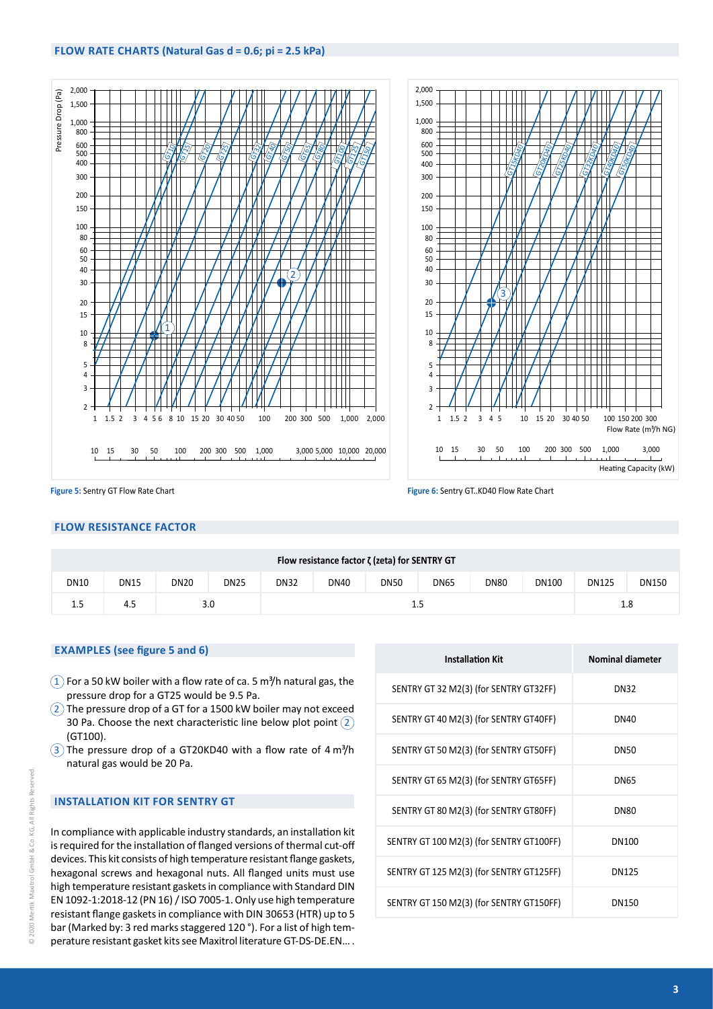### **FLOW RATE CHARTS (Natural Gas d = 0.6; pi = 2.5 kPa)**



**Figure 5:** Sentry GT Flow Rate Chart **Figure 6:** Sentry GT..KD40 Flow Rate Chart

#### **FLOW RESISTANCE FACTOR**

| Flow resistance factor $\zeta$ (zeta) for SENTRY GT |             |             |             |             |             |             |             |             |              |              |              |
|-----------------------------------------------------|-------------|-------------|-------------|-------------|-------------|-------------|-------------|-------------|--------------|--------------|--------------|
| <b>DN10</b>                                         | <b>DN15</b> | <b>DN20</b> | <b>DN25</b> | <b>DN32</b> | <b>DN40</b> | <b>DN50</b> | <b>DN65</b> | <b>DN80</b> | <b>DN100</b> | <b>DN125</b> | <b>DN150</b> |
| $1.5\,$                                             | 4.5         | 3.0         |             |             | 1.5         |             |             |             |              |              | 1.8          |

#### **EXAMPLES (see figure 5 and 6)**

- $(1)$  For a 50 kW boiler with a flow rate of ca. 5 m<sup>3</sup>/h natural gas, the pressure drop for a GT25 would be 9.5 Pa.
- $(2)$  The pressure drop of a GT for a 1500 kW boiler may not exceed 30 Pa. Choose the next characteristic line below plot point  $(2)$ (GT100).
- $\overline{3}$  The pressure drop of a GT20KD40 with a flow rate of 4 $\overline{m}$ <sup>3</sup>/h natural gas would be 20 Pa.

#### **INSTALLATION KIT FOR SENTRY GT**

In compliance with applicable industry standards, an installation kit is required for the installation of flanged versions of thermal cut-off devices. This kit consists of high temperature resistant flange gaskets, hexagonal screws and hexagonal nuts. All flanged units must use high temperature resistant gaskets in compliance with Standard DIN EN 1092-1:2018-12 (PN 16) / ISO 7005-1. Only use high temperature resistant flange gaskets in compliance with DIN 30653 (HTR) up to 5 bar (Marked by: 3 red marks staggered 120 °). For a list of high temperature resistant gasket kits see Maxitrol literature GT-DS-DE.EN… .

| <b>Installation Kit</b>                  | <b>Nominal diameter</b> |
|------------------------------------------|-------------------------|
| SENTRY GT 32 M2(3) (for SENTRY GT32FF)   | DN32                    |
| SENTRY GT 40 M2(3) (for SENTRY GT40FF)   | DN40                    |
| SENTRY GT 50 M2(3) (for SENTRY GT50FF)   | DN50                    |
| SENTRY GT 65 M2(3) (for SENTRY GT65FF)   | DN65                    |
| SENTRY GT 80 M2(3) (for SENTRY GT80FF)   | DN80                    |
| SENTRY GT 100 M2(3) (for SENTRY GT100FF) | DN100                   |
| SENTRY GT 125 M2(3) (for SENTRY GT125FF) | DN125                   |
| SENTRY GT 150 M2(3) (for SENTRY GT150FF) | DN150                   |